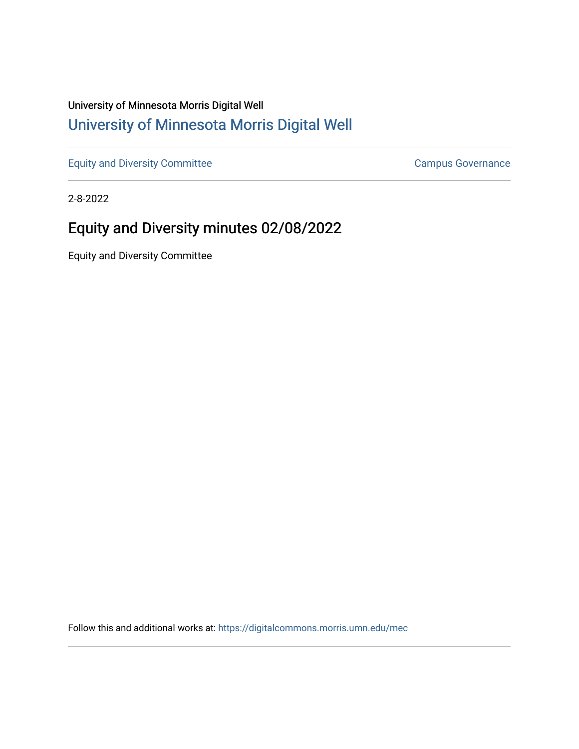## University of Minnesota Morris Digital Well [University of Minnesota Morris Digital Well](https://digitalcommons.morris.umn.edu/)

[Equity and Diversity Committee](https://digitalcommons.morris.umn.edu/mec) [Campus Governance](https://digitalcommons.morris.umn.edu/campgov) Campus Governance

2-8-2022

# Equity and Diversity minutes 02/08/2022

Equity and Diversity Committee

Follow this and additional works at: [https://digitalcommons.morris.umn.edu/mec](https://digitalcommons.morris.umn.edu/mec?utm_source=digitalcommons.morris.umn.edu%2Fmec%2F52&utm_medium=PDF&utm_campaign=PDFCoverPages)